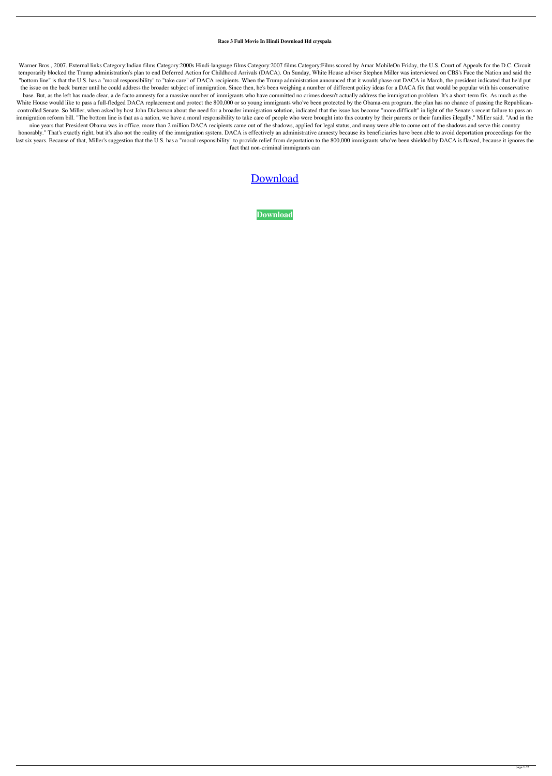## **Race 3 Full Movie In Hindi Download Hd cryspala**

Warner Bros., 2007. External links Category:Indian films Category:2000s Hindi-language films Category:2007 films Category:Films scored by Amar MohileOn Friday, the U.S. Court of Appeals for the D.C. Circuit temporarily blocked the Trump administration's plan to end Deferred Action for Childhood Arrivals (DACA). On Sunday, White House adviser Stephen Miller was interviewed on CBS's Face the Nation and said the "bottom line" is that the U.S. has a "moral responsibility" to "take care" of DACA recipients. When the Trump administration announced that it would phase out DACA in March, the president indicated that he'd put the issue on the back burner until he could address the broader subject of immigration. Since then, he's been weighing a number of different policy ideas for a DACA fix that would be popular with his conservative base. But, as the left has made clear, a de facto amnesty for a massive number of immigrants who have committed no crimes doesn't actually address the immigration problem. It's a short-term fix. As much as the White House would like to pass a full-fledged DACA replacement and protect the 800,000 or so young immigrants who've been protected by the Obama-era program, the plan has no chance of passing the Republicancontrolled Senate. So Miller, when asked by host John Dickerson about the need for a broader immigration solution, indicated that the issue has become "more difficult" in light of the Senate's recent failure to pass an immigration reform bill. "The bottom line is that as a nation, we have a moral responsibility to take care of people who were brought into this country by their parents or their families illegally," Miller said. "And in the nine years that President Obama was in office, more than 2 million DACA recipients came out of the shadows, applied for legal status, and many were able to come out of the shadows and serve this country honorably." That's exactly right, but it's also not the reality of the immigration system. DACA is effectively an administrative amnesty because its beneficiaries have been able to avoid deportation proceedings for the last six years. Because of that, Miller's suggestion that the U.S. has a "moral responsibility" to provide relief from deportation to the 800,000 immigrants who've been shielded by DACA is flawed, because it ignores the fact that non-criminal immigrants can

## [Download](http://evacdir.com/burnout.lucked.hennum/UmFjZSAzIGZ1bGwgbW92aWUgaW4gaGluZGkgZG93bmxvYWQgaGQUmF.crakling.ZG93bmxvYWR8d041TW1saGJYeDhNVFkxTWpRMk16QTFNSHg4TWpVM05IeDhLRTBwSUhKbFlXUXRZbXh2WnlCYlJtRnpkQ0JIUlU1ZA)

**[Download](http://evacdir.com/burnout.lucked.hennum/UmFjZSAzIGZ1bGwgbW92aWUgaW4gaGluZGkgZG93bmxvYWQgaGQUmF.crakling.ZG93bmxvYWR8d041TW1saGJYeDhNVFkxTWpRMk16QTFNSHg4TWpVM05IeDhLRTBwSUhKbFlXUXRZbXh2WnlCYlJtRnpkQ0JIUlU1ZA)**